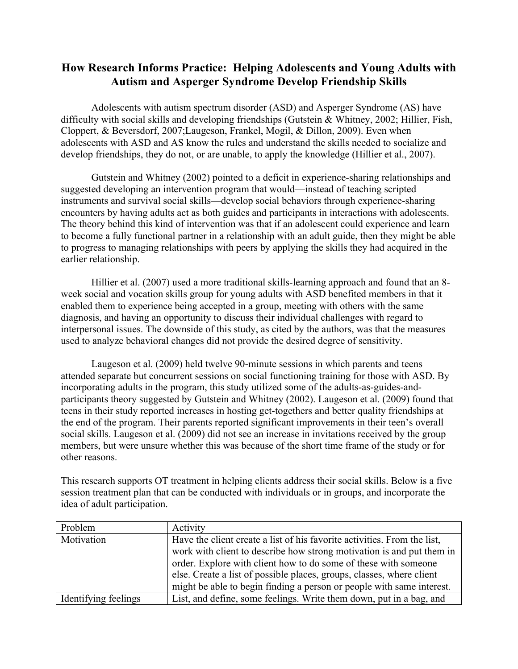## **How Research Informs Practice: Helping Adolescents and Young Adults with Autism and Asperger Syndrome Develop Friendship Skills**

Adolescents with autism spectrum disorder (ASD) and Asperger Syndrome (AS) have difficulty with social skills and developing friendships (Gutstein & Whitney, 2002; Hillier, Fish, Cloppert, & Beversdorf, 2007;Laugeson, Frankel, Mogil, & Dillon, 2009). Even when adolescents with ASD and AS know the rules and understand the skills needed to socialize and develop friendships, they do not, or are unable, to apply the knowledge (Hillier et al., 2007).

Gutstein and Whitney (2002) pointed to a deficit in experience-sharing relationships and suggested developing an intervention program that would—instead of teaching scripted instruments and survival social skills—develop social behaviors through experience-sharing encounters by having adults act as both guides and participants in interactions with adolescents. The theory behind this kind of intervention was that if an adolescent could experience and learn to become a fully functional partner in a relationship with an adult guide, then they might be able to progress to managing relationships with peers by applying the skills they had acquired in the earlier relationship.

Hillier et al. (2007) used a more traditional skills-learning approach and found that an 8 week social and vocation skills group for young adults with ASD benefited members in that it enabled them to experience being accepted in a group, meeting with others with the same diagnosis, and having an opportunity to discuss their individual challenges with regard to interpersonal issues. The downside of this study, as cited by the authors, was that the measures used to analyze behavioral changes did not provide the desired degree of sensitivity.

Laugeson et al. (2009) held twelve 90-minute sessions in which parents and teens attended separate but concurrent sessions on social functioning training for those with ASD. By incorporating adults in the program, this study utilized some of the adults-as-guides-andparticipants theory suggested by Gutstein and Whitney (2002). Laugeson et al. (2009) found that teens in their study reported increases in hosting get-togethers and better quality friendships at the end of the program. Their parents reported significant improvements in their teen's overall social skills. Laugeson et al. (2009) did not see an increase in invitations received by the group members, but were unsure whether this was because of the short time frame of the study or for other reasons.

This research supports OT treatment in helping clients address their social skills. Below is a five session treatment plan that can be conducted with individuals or in groups, and incorporate the idea of adult participation.

| Problem              | Activity                                                                 |
|----------------------|--------------------------------------------------------------------------|
| Motivation           | Have the client create a list of his favorite activities. From the list, |
|                      | work with client to describe how strong motivation is and put them in    |
|                      | order. Explore with client how to do some of these with someone          |
|                      | else. Create a list of possible places, groups, classes, where client    |
|                      | might be able to begin finding a person or people with same interest.    |
| Identifying feelings | List, and define, some feelings. Write them down, put in a bag, and      |